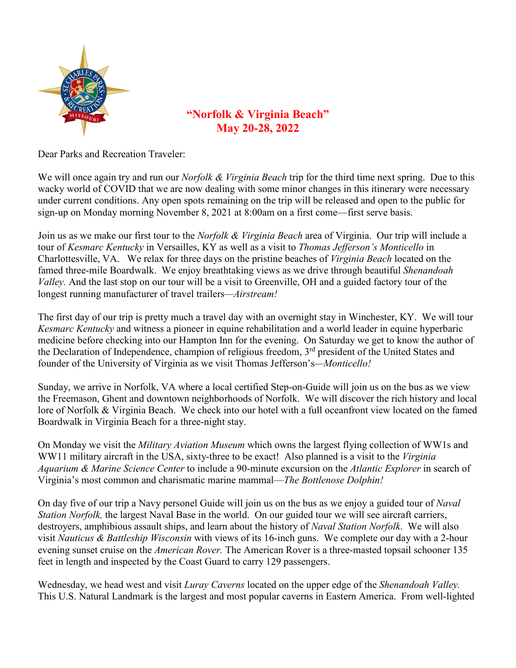

# **"Norfolk & Virginia Beach" May 20-28, 2022**

Dear Parks and Recreation Traveler:

We will once again try and run our *Norfolk & Virginia Beach* trip for the third time next spring. Due to this wacky world of COVID that we are now dealing with some minor changes in this itinerary were necessary under current conditions. Any open spots remaining on the trip will be released and open to the public for sign-up on Monday morning November 8, 2021 at 8:00am on a first come—first serve basis.

Join us as we make our first tour to the *Norfolk & Virginia Beach* area of Virginia. Our trip will include a tour of *Kesmarc Kentucky* in Versailles, KY as well as a visit to *Thomas Jefferson's Monticello* in Charlottesville, VA. We relax for three days on the pristine beaches of *Virginia Beach* located on the famed three-mile Boardwalk. We enjoy breathtaking views as we drive through beautiful *Shenandoah Valley.* And the last stop on our tour will be a visit to Greenville, OH and a guided factory tour of the longest running manufacturer of travel trailers*—Airstream!* 

The first day of our trip is pretty much a travel day with an overnight stay in Winchester, KY. We will tour *Kesmarc Kentucky* and witness a pioneer in equine rehabilitation and a world leader in equine hyperbaric medicine before checking into our Hampton Inn for the evening. On Saturday we get to know the author of the Declaration of Independence, champion of religious freedom, 3<sup>rd</sup> president of the United States and founder of the University of Virginia as we visit Thomas Jefferson's*—Monticello!*

Sunday, we arrive in Norfolk, VA where a local certified Step-on-Guide will join us on the bus as we view the Freemason, Ghent and downtown neighborhoods of Norfolk. We will discover the rich history and local lore of Norfolk & Virginia Beach. We check into our hotel with a full oceanfront view located on the famed Boardwalk in Virginia Beach for a three-night stay.

On Monday we visit the *Military Aviation Museum* which owns the largest flying collection of WW1s and WW11 military aircraft in the USA, sixty-three to be exact! Also planned is a visit to the *Virginia Aquarium & Marine Science Center* to include a 90-minute excursion on the *Atlantic Explorer* in search of Virginia's most common and charismatic marine mammal—*The Bottlenose Dolphin!*

On day five of our trip a Navy personel Guide will join us on the bus as we enjoy a guided tour of *Naval Station Norfolk,* the largest Naval Base in the world.On our guided tour we will see aircraft carriers, destroyers, amphibious assault ships, and learn about the history of *Naval Station Norfolk*. We will also visit *Nauticus & Battleship Wisconsin* with views of its 16-inch guns. We complete our day with a 2-hour evening sunset cruise on the *American Rover.* The American Rover is a three-masted topsail schooner 135 feet in length and inspected by the Coast Guard to carry 129 passengers.

Wednesday, we head west and visit *Luray Caverns* located on the upper edge of the *Shenandoah Valley.*  This U.S. Natural Landmark is the largest and most popular caverns in Eastern America. From well-lighted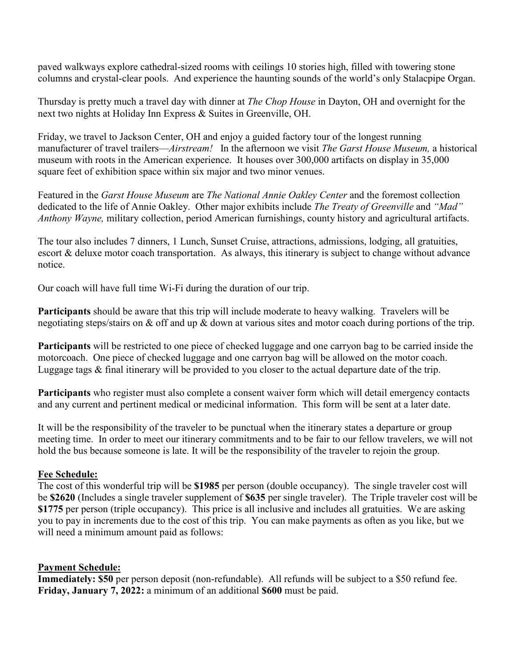paved walkways explore cathedral-sized rooms with ceilings 10 stories high, filled with towering stone columns and crystal-clear pools. And experience the haunting sounds of the world's only Stalacpipe Organ.

Thursday is pretty much a travel day with dinner at *The Chop House* in Dayton, OH and overnight for the next two nights at Holiday Inn Express & Suites in Greenville, OH.

Friday, we travel to Jackson Center, OH and enjoy a guided factory tour of the longest running manufacturer of travel trailers—*Airstream!* In the afternoon we visit *The Garst House Museum,* a historical museum with roots in the American experience. It houses over 300,000 artifacts on display in 35,000 square feet of exhibition space within six major and two minor venues.

Featured in the *Garst House Museum* are *The National Annie Oakley Center* and the foremost collection dedicated to the life of Annie Oakley. Other major exhibits include *The Treaty of Greenville* and *"Mad" Anthony Wayne,* military collection, period American furnishings, county history and agricultural artifacts.

The tour also includes 7 dinners, 1 Lunch, Sunset Cruise, attractions, admissions, lodging, all gratuities, escort & deluxe motor coach transportation. As always, this itinerary is subject to change without advance notice.

Our coach will have full time Wi-Fi during the duration of our trip.

**Participants** should be aware that this trip will include moderate to heavy walking. Travelers will be negotiating steps/stairs on & off and up & down at various sites and motor coach during portions of the trip.

**Participants** will be restricted to one piece of checked luggage and one carryon bag to be carried inside the motorcoach. One piece of checked luggage and one carryon bag will be allowed on the motor coach. Luggage tags & final itinerary will be provided to you closer to the actual departure date of the trip.

**Participants** who register must also complete a consent waiver form which will detail emergency contacts and any current and pertinent medical or medicinal information. This form will be sent at a later date.

It will be the responsibility of the traveler to be punctual when the itinerary states a departure or group meeting time. In order to meet our itinerary commitments and to be fair to our fellow travelers, we will not hold the bus because someone is late. It will be the responsibility of the traveler to rejoin the group.

### **Fee Schedule:**

The cost of this wonderful trip will be **\$1985** per person (double occupancy). The single traveler cost will be **\$2620** (Includes a single traveler supplement of **\$635** per single traveler). The Triple traveler cost will be **\$1775** per person (triple occupancy). This price is all inclusive and includes all gratuities. We are asking you to pay in increments due to the cost of this trip. You can make payments as often as you like, but we will need a minimum amount paid as follows:

### **Payment Schedule:**

**Immediately: \$50** per person deposit (non-refundable). All refunds will be subject to a \$50 refund fee. **Friday, January 7, 2022:** a minimum of an additional **\$600** must be paid.